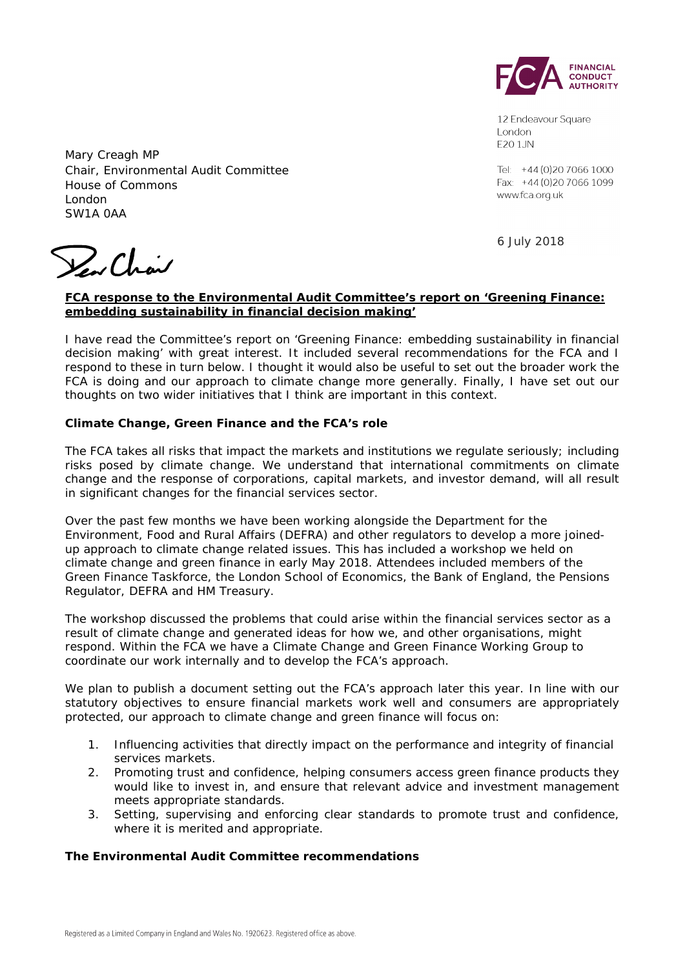

12 Endeavour Square London E201JN

Tel: +44 (0) 20 7066 1000 Fax: +44 (0) 20 7066 1099 www.fca.org.uk

6 July 2018

Den Chair

Mary Creagh MP

London SW1A 0AA

House of Commons

Chair, Environmental Audit Committee

### **FCA response to the Environmental Audit Committee's report on 'Greening Finance: embedding sustainability in financial decision making'**

I have read the Committee's report on '*Greening Finance: embedding sustainability in financial decision making'* with great interest. It included several recommendations for the FCA and I respond to these in turn below. I thought it would also be useful to set out the broader work the FCA is doing and our approach to climate change more generally. Finally, I have set out our thoughts on two wider initiatives that I think are important in this context.

### **Climate Change, Green Finance and the FCA's role**

The FCA takes all risks that impact the markets and institutions we regulate seriously; including risks posed by climate change. We understand that international commitments on climate change and the response of corporations, capital markets, and investor demand, will all result in significant changes for the financial services sector.

Over the past few months we have been working alongside the Department for the Environment, Food and Rural Affairs (DEFRA) and other regulators to develop a more joinedup approach to climate change related issues. This has included a workshop we held on climate change and green finance in early May 2018. Attendees included members of the Green Finance Taskforce, the London School of Economics, the Bank of England, the Pensions Regulator, DEFRA and HM Treasury.

The workshop discussed the problems that could arise within the financial services sector as a result of climate change and generated ideas for how we, and other organisations, might respond. Within the FCA we have a Climate Change and Green Finance Working Group to coordinate our work internally and to develop the FCA's approach.

We plan to publish a document setting out the FCA's approach later this year. In line with our statutory objectives to ensure financial markets work well and consumers are appropriately protected, our approach to climate change and green finance will focus on:

- 1. Influencing activities that directly impact on the performance and integrity of financial services markets.
- 2. Promoting trust and confidence, helping consumers access green finance products they would like to invest in, and ensure that relevant advice and investment management meets appropriate standards.
- 3. Setting, supervising and enforcing clear standards to promote trust and confidence, where it is merited and appropriate.

## **The Environmental Audit Committee recommendations**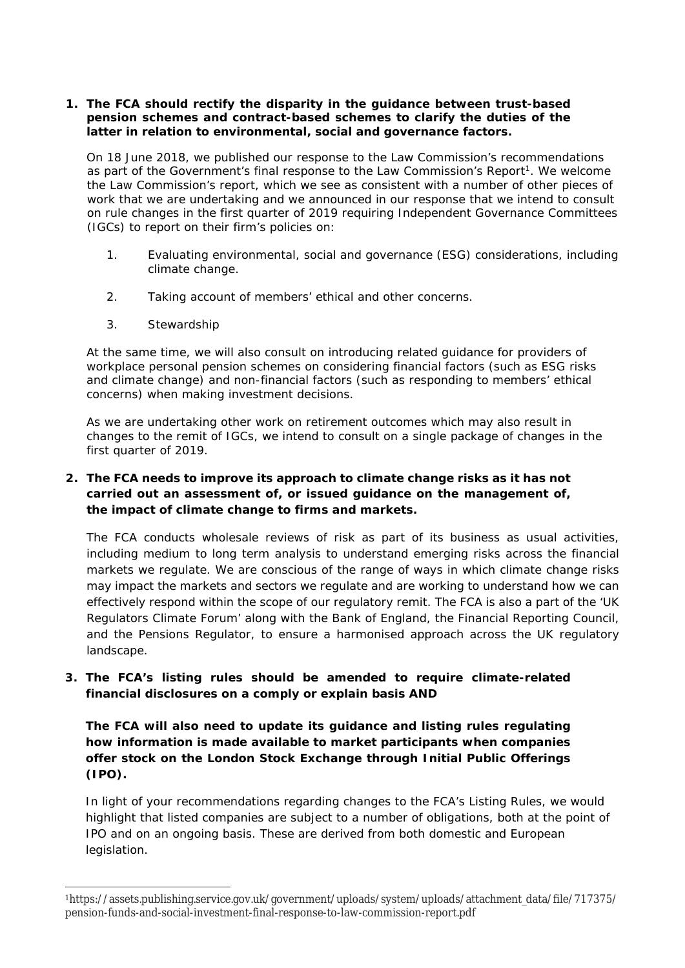### *1. The FCA should rectify the disparity in the guidance between trust-based pension schemes and contract-based schemes to clarify the duties of the latter in relation to environmental, social and governance factors.*

On 18 June 2018, we published our response to the Law Commission's recommendations as part of the Government's final response to the Law Commission's Report<sup>1</sup>. We welcome the Law Commission's report, which we see as consistent with a number of other pieces of work that we are undertaking and we announced in our response that we intend to consult on rule changes in the first quarter of 2019 requiring Independent Governance Committees (IGCs) to report on their firm's policies on:

- 1. Evaluating environmental, social and governance (ESG) considerations, including climate change.
- 2. Taking account of members' ethical and other concerns.
- 3. Stewardship

At the same time, we will also consult on introducing related guidance for providers of workplace personal pension schemes on considering financial factors (such as ESG risks and climate change) and non-financial factors (such as responding to members' ethical concerns) when making investment decisions.

As we are undertaking other work on retirement outcomes which may also result in changes to the remit of IGCs, we intend to consult on a single package of changes in the first quarter of 2019.

# *2. The FCA needs to improve its approach to climate change risks as it has not carried out an assessment of, or issued guidance on the management of, the impact of climate change to firms and markets.*

The FCA conducts wholesale reviews of risk as part of its business as usual activities, including medium to long term analysis to understand emerging risks across the financial markets we regulate. We are conscious of the range of ways in which climate change risks may impact the markets and sectors we regulate and are working to understand how we can effectively respond within the scope of our regulatory remit. The FCA is also a part of the 'UK Regulators Climate Forum' along with the Bank of England, the Financial Reporting Council, and the Pensions Regulator, to ensure a harmonised approach across the UK regulatory landscape.

# *3. The FCA's listing rules should be amended to require climate-related financial disclosures on a comply or explain basis AND*

The FCA will also need to update its guidance and listing rules regulating *how information is made available to market participants when companies offer stock on the London Stock Exchange through Initial Public Offerings (IPO).* 

In light of your recommendations regarding changes to the FCA's Listing Rules, we would highlight that listed companies are subject to a number of obligations, both at the point of IPO and on an ongoing basis. These are derived from both domestic and European legislation.

<sup>1</sup>https://assets.publishing.service.gov.uk/government/uploads/system/uploads/attachment\_data/file/717375/ pension-funds-and-social-investment-final-response-to-law-commission-report.pdf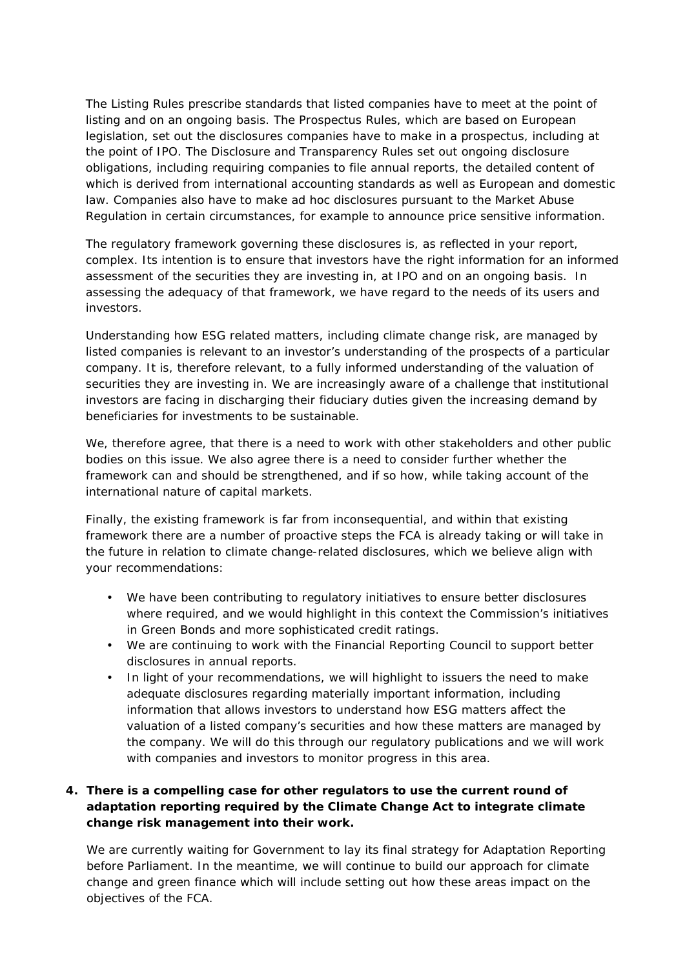The Listing Rules prescribe standards that listed companies have to meet at the point of listing and on an ongoing basis. The Prospectus Rules, which are based on European legislation, set out the disclosures companies have to make in a prospectus, including at the point of IPO. The Disclosure and Transparency Rules set out ongoing disclosure obligations, including requiring companies to file annual reports, the detailed content of which is derived from international accounting standards as well as European and domestic law. Companies also have to make ad hoc disclosures pursuant to the Market Abuse Regulation in certain circumstances, for example to announce price sensitive information.

The regulatory framework governing these disclosures is, as reflected in your report, complex. Its intention is to ensure that investors have the right information for an informed assessment of the securities they are investing in, at IPO and on an ongoing basis. In assessing the adequacy of that framework, we have regard to the needs of its users and investors.

Understanding how ESG related matters, including climate change risk, are managed by listed companies is relevant to an investor's understanding of the prospects of a particular company. It is, therefore relevant, to a fully informed understanding of the valuation of securities they are investing in. We are increasingly aware of a challenge that institutional investors are facing in discharging their fiduciary duties given the increasing demand by beneficiaries for investments to be sustainable.

We, therefore agree, that there is a need to work with other stakeholders and other public bodies on this issue. We also agree there is a need to consider further whether the framework can and should be strengthened, and if so how, while taking account of the international nature of capital markets.

Finally, the existing framework is far from inconsequential, and within that existing framework there are a number of proactive steps the FCA is already taking or will take in the future in relation to climate change-related disclosures, which we believe align with your recommendations:

- We have been contributing to regulatory initiatives to ensure better disclosures where required, and we would highlight in this context the Commission's initiatives in Green Bonds and more sophisticated credit ratings.
- We are continuing to work with the Financial Reporting Council to support better disclosures in annual reports.
- In light of your recommendations, we will highlight to issuers the need to make adequate disclosures regarding materially important information, including information that allows investors to understand how ESG matters affect the valuation of a listed company's securities and how these matters are managed by the company. We will do this through our regulatory publications and we will work with companies and investors to monitor progress in this area.

# *4. There is a compelling case for other regulators to use the current round of adaptation reporting required by the Climate Change Act to integrate climate change risk management into their work.*

We are currently waiting for Government to lay its final strategy for Adaptation Reporting before Parliament. In the meantime, we will continue to build our approach for climate change and green finance which will include setting out how these areas impact on the objectives of the FCA.